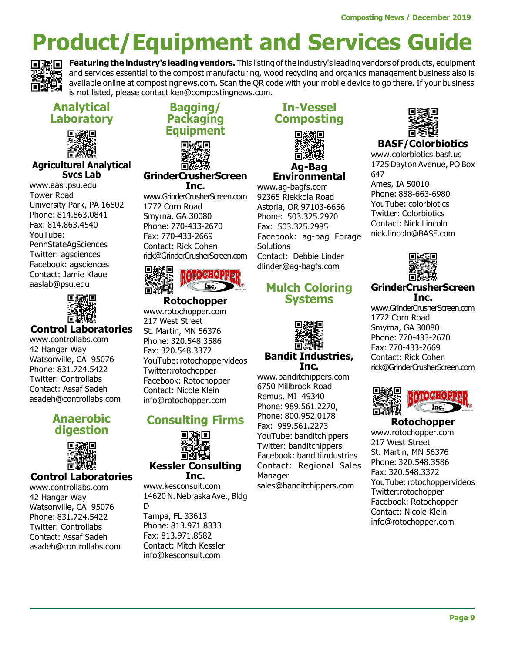

Featuring the industry's leading vendors. This listing of the industry's leading vendors of products, equipment and services essential to the compost manufacturing, wood recycling and organics management business also is available online at compostingnews.com. Scan the QR code with your mobile device to go there. If your business is not listed, please contact ken@compostingnews.com.

# Analytical Laboratory



#### Agricultural Analytical Svcs Lab

www.aasl.psu.edu Tower Road University Park, PA 16802 Phone: 814.863.0841 Fax: 814.863.4540 YouTube: PennStateAgSciences Twitter: agsciences Facebook: agsciences Contact: Jamie Klaue aaslab@psu.edu



## Control Laboratories

www.controllabs.com 42 Hangar Way Watsonville, CA 95076 Phone: 831.724.5422 Twitter: Controllabs Contact: Assaf Sadeh asadeh@controllabs.com

## Anaerobic digestion



## Control Laboratories

www.controllabs.com 42 Hangar Way Watsonville, CA 95076 Phone: 831.724.5422 Twitter: Controllabs Contact: Assaf Sadeh asadeh@controllabs.com

# Bagging/ Packaging **Equipment**

#### GrinderCrusherScreen Inc.

www.GrinderCrusherScreen.com 1772 Corn Road Smyrna, GA 30080 Phone: 770-433-2670 Fax: 770-433-2669 Contact: Rick Cohen rick@GrinderCrusherScreen.com



#### **Rotochopper**

www.rotochopper.com 217 West Street St. Martin, MN 56376 Phone: 320.548.3586 Fax: 320.548.3372 YouTube: rotochoppervideos Twitter:rotochopper Facebook: Rotochopper Contact: Nicole Klein info@rotochopper.com

# Consulting Firms



#### Kessler Consulting Inc.

www.kesconsult.com 14620 N. Nebraska Ave., Bldg D Tampa, FL 33613 Phone: 813.971.8333 Fax: 813.971.8582 Contact: Mitch Kessler info@kesconsult.com

## In-Vessel Composting



Environmental www.ag-bagfs.com

92365 Riekkola Road Astoria, OR 97103-6656 Phone: 503.325.2970 Fax: 503.325.2985 Facebook: ag-bag Forage **Solutions** Contact: Debbie Linder dlinder@ag-bagfs.com

## Mulch Coloring Systems



#### Bandit Industries, Inc.

www.banditchippers.com 6750 Millbrook Road Remus, MI 49340 Phone: 989.561.2270, Phone: 800.952.0178 Fax: 989.561.2273 YouTube: banditchippers Twitter: banditchippers Facebook: banditiindustries Contact: Regional Sales Manager sales@banditchippers.com



## BASF/Colorbiotics

www.colorbiotics.basf.us 1725 Dayton Avenue, PO Box 647

Ames, IA 50010 Phone: 888-663-6980 YouTube: colorbiotics Twitter: Colorbiotics Contact: Nick Lincoln nick.lincoln@BASF.com



#### GrinderCrusherScreen Inc.

www.GrinderCrusherScreen.com 1772 Corn Road Smyrna, GA 30080 Phone: 770-433-2670 Fax: 770-433-2669 Contact: Rick Cohen rick@GrinderCrusherScreen.com



#### Rotochopper www.rotochopper.com 217 West Street St. Martin, MN 56376 Phone: 320.548.3586 Fax: 320.548.3372 YouTube: rotochoppervideos Twitter:rotochopper Facebook: Rotochopper Contact: Nicole Klein info@rotochopper.com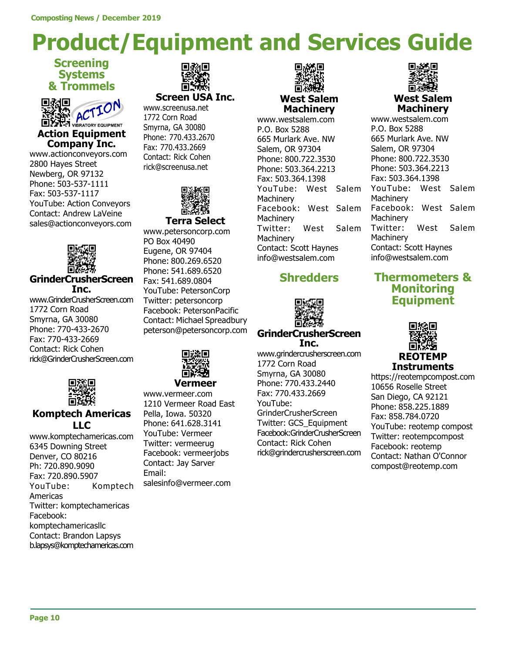## **Screening Systems** & Trommels



Company Inc.

www.actionconveyors.com 2800 Hayes Street Newberg, OR 97132 Phone: 503-537-1111 Fax: 503-537-1117 YouTube: Action Conveyors Contact: Andrew LaVeine sales@actionconveyors.com



### GrinderCrusherScreen Inc.

www.GrinderCrusherScreen.com 1772 Corn Road Smyrna, GA 30080 Phone: 770-433-2670 Fax: 770-433-2669 Contact: Rick Cohen rick@GrinderCrusherScreen.com



## Komptech Americas LLC

www.komptechamericas.com 6345 Downing Street Denver, CO 80216 Ph: 720.890.9090 Fax: 720.890.5907 YouTube: Komptech Americas Twitter: komptechamericas Facebook: komptechamericasllc Contact: Brandon Lapsys b.lapsys@komptechamericas.com



Screen USA Inc.

www.screenusa.net 1772 Corn Road Smyrna, GA 30080 Phone: 770.433.2670 Fax: 770.433.2669 Contact: Rick Cohen rick@screenusa.net



www.petersoncorp.com PO Box 40490 Eugene, OR 97404 Phone: 800.269.6520 Phone: 541.689.6520 Fax: 541.689.0804 YouTube: PetersonCorp Twitter: petersoncorp Facebook: PetersonPacific Contact: Michael Spreadbury peterson@petersoncorp.com



Vermeer

www.vermeer.com 1210 Vermeer Road East Pella, Iowa. 50320 Phone: 641.628.3141 YouTube: Vermeer Twitter: vermeerug Facebook: vermeerjobs Contact: Jay Sarver Email: salesinfo@vermeer.com



West Salem **Machinery** 

www.westsalem.com P.O. Box 5288 665 Murlark Ave. NW Salem, OR 97304 Phone: 800.722.3530 Phone: 503.364.2213 Fax: 503.364.1398 YouTube: West Salem **Machinery** Facebook: West Salem **Machinery** Twitter: West Salem **Machinery** Contact: Scott Haynes info@westsalem.com

# **Shredders**



#### GrinderCrusherScreen Inc.

www.grindercrusherscreen.com 1772 Corn Road Smyrna, GA 30080 Phone: 770.433.2440 Fax: 770.433.2669 YouTube: GrinderCrusherScreen Twitter: GCS\_Equipment Facebook:GrinderCrusherScreen Contact: Rick Cohen rick@grindercrusherscreen.com



www.westsalem.com P.O. Box 5288 665 Murlark Ave. NW Salem, OR 97304 Phone: 800.722.3530 Phone: 503.364.2213 Fax: 503.364.1398 YouTube: West Salem **Machinery** Facebook: West Salem **Machinery** Twitter: West Salem **Machinery** Contact: Scott Haynes info@westsalem.com

## Thermometers & Monitoring **Equipment**



https://reotempcompost.com 10656 Roselle Street San Diego, CA 92121 Phone: 858.225.1889 Fax: 858.784.0720 YouTube: reotemp compost Twitter: reotempcompost Facebook: reotemp Contact: Nathan O'Connor compost@reotemp.com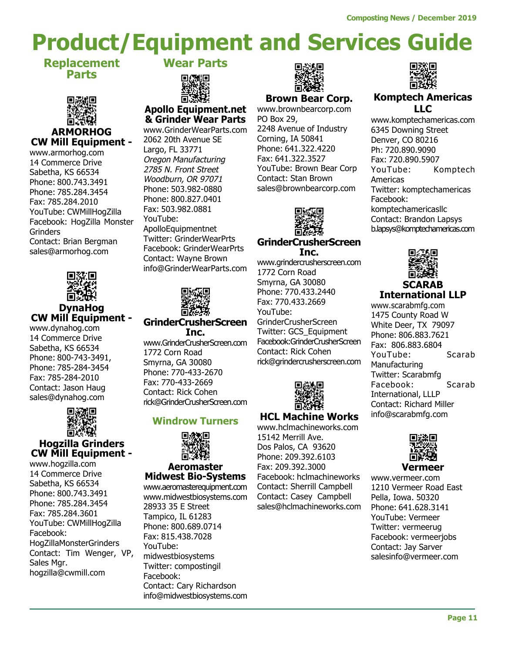Replacement Parts



#### ARMORHOG CW Mill Equipment -

www.armorhog.com 14 Commerce Drive Sabetha, KS 66534 Phone: 800.743.3491 Phone: 785.284.3454 Fax: 785.284.2010 YouTube: CWMillHogZilla Facebook: HogZilla Monster **Grinders** Contact: Brian Bergman sales@armorhog.com



#### DynaHog CW Mill Equipment -

www.dynahog.com 14 Commerce Drive Sabetha, KS 66534 Phone: 800-743-3491, Phone: 785-284-3454 Fax: 785-284-2010 Contact: Jason Haug sales@dynahog.com



## Hogzilla Grinders CW Mill Equipment -

www.hogzilla.com 14 Commerce Drive Sabetha, KS 66534 Phone: 800.743.3491 Phone: 785.284.3454 Fax: 785.284.3601 YouTube: CWMillHogZilla Facebook: HogZillaMonsterGrinders Contact: Tim Wenger, VP, Sales Mgr. hogzilla@cwmill.com

Wear Parts



## Apollo Equipment.net & Grinder Wear Parts

www.GrinderWearParts.com 2062 20th Avenue SE Largo, FL 33771 Oregon Manufacturing 2785 N. Front Street Woodburn, OR 97071 Phone: 503.982-0880 Phone: 800.827.0401 Fax: 503.982.0881 YouTube: ApolloEquipmentnet Twitter: GrinderWearPrts Facebook: GrinderWearPrts Contact: Wayne Brown info@GrinderWearParts.com



#### GrinderCrusherScreen Inc.

www.GrinderCrusherScreen.com 1772 Corn Road Smyrna, GA 30080 Phone: 770-433-2670 Fax: 770-433-2669 Contact: Rick Cohen rick@GrinderCrusherScreen.com

## Windrow Turners



#### Aeromaster Midwest Bio-Systems

www.aeromasterequipment.com www.midwestbiosystems.com 28933 35 E Street Tampico, IL 61283 Phone: 800.689.0714 Fax: 815.438.7028 YouTube: midwestbiosystems Twitter: compostingil Facebook: Contact: Cary Richardson info@midwestbiosystems.com



## Brown Bear Corp.

www.brownbearcorp.com PO Box 29, 2248 Avenue of Industry Corning, IA 50841 Phone: 641.322.4220 Fax: 641.322.3527 YouTube: Brown Bear Corp Contact: Stan Brown sales@brownbearcorp.com



#### GrinderCrusherScreen Inc.

www.grindercrusherscreen.com 1772 Corn Road Smyrna, GA 30080 Phone: 770.433.2440 Fax: 770.433.2669 YouTube: GrinderCrusherScreen Twitter: GCS\_Equipment Facebook:GrinderCrusherScreen Contact: Rick Cohen rick@grindercrusherscreen.com



## HCL Machine Works

www.hclmachineworks.com 15142 Merrill Ave. Dos Palos, CA 93620 Phone: 209.392.6103 Fax: 209.392.3000 Facebook: hclmachineworks Contact: Sherrill Campbell Contact: Casey Campbell sales@hclmachineworks.com



#### Komptech Americas LLC

www.komptechamericas.com 6345 Downing Street Denver, CO 80216 Ph: 720.890.9090 Fax: 720.890.5907 YouTube: Komptech Americas Twitter: komptechamericas Facebook: komptechamericasllc Contact: Brandon Lapsys b.lapsys@komptechamericas.com



#### **SCARAB** International LLP

www.scarabmfg.com 1475 County Road W White Deer, TX 79097 Phone: 806.883.7621 Fax: 806.883.6804 YouTube: Scarab Manufacturing Twitter: Scarabmfg Facebook: Scarab International, LLLP Contact: Richard Miller info@scarabmfg.com



www.vermeer.com 1210 Vermeer Road East Pella, Iowa. 50320 Phone: 641.628.3141 YouTube: Vermeer Twitter: vermeerug Facebook: vermeerjobs Contact: Jay Sarver salesinfo@vermeer.com